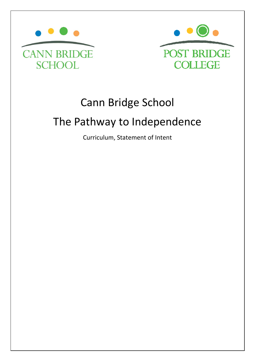



# Cann Bridge School

# The Pathway to Independence The Pathway to

Curriculum, Statement of Intent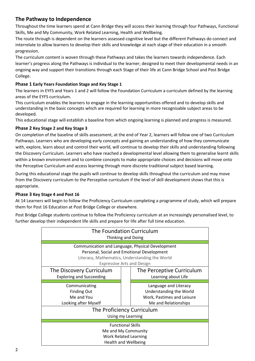# **The Pathway to Independence**

Throughout the time learners spend at Cann Bridge they will access their learning through four Pathways, Functional Skills, Me and My Community, Work Related Learning, Health and Wellbeing.

The route through is dependent on the learners assessed cognitive level but the different Pathways do connect and interrelate to allow learners to develop their skills and knowledge at each stage of their education in a smooth progression.

The curriculum content is woven through these Pathways and takes the learners towards independence. Each learner's progress along the Pathways is individual to the learner; designed to meet their developmental needs in an ongoing way and support their transitions through each Stage of their life at Cann Bridge School and Post Bridge College.

## **Phase 1 Early Years Foundation Stage and Key Stage 1**

The learners in EYFS and Years 1 and 2 will follow the Foundation Curriculum a curriculum defined by the learning areas of the EYFS curriculum.

This curriculum enables the learners to engage in the learning opportunities offered and to develop skills and understanding in the basic concepts which are required for learning in more recognisable subject areas to be developed.

This educational stage will establish a baseline from which ongoing learning is planned and progress is measured.

## **Phase 2 Key Stage 2 and Key Stage 3**

On completion of the baseline of skills assessment, at the end of Year 2, learners will follow one of two Curriculum Pathways. Learners who are developing early concepts and gaining an understanding of how they communicate with, explore, learn about and control their world, will continue to develop their skills and understanding following the Discovery Curriculum. Learners who have reached a developmental level allowing them to generalise learnt skills within a known environment and to combine concepts to make appropriate choices and decisions will move onto the Perceptive Curriculum and access learning through more discrete traditional subject based learning.

During this educational stage the pupils will continue to develop skills throughout the curriculum and may move from the Discovery curriculum to the Perceptive curriculum if the level of skill development shows that this is appropriate.

### **Phase 3 Key Stage 4 and Post 16**

At 14 Learners will begin to follow the Proficiency Curriculum completing a programme of study, which will prepare them for Post 16 Education at Post Bridge College or elsewhere.

Post Bridge College students continue to follow the Proficiency curriculum at an increasingly personalised level, to further develop their independent life skills and prepare for life after full time education.

| The Foundation Curriculum<br>Thinking and Doing                                                                                                                                       |                                                                                                        |  |  |  |  |  |
|---------------------------------------------------------------------------------------------------------------------------------------------------------------------------------------|--------------------------------------------------------------------------------------------------------|--|--|--|--|--|
| Communication and Language, Physical Development<br>Personal, Social and Emotional Development<br>Literacy, Mathematics, Understanding the World<br><b>Expressive Arts and Design</b> |                                                                                                        |  |  |  |  |  |
| The Discovery Curriculum<br><b>Exploring and Succeeding</b>                                                                                                                           | The Perceptive Curriculum<br>Learning about Life                                                       |  |  |  |  |  |
| Communicating<br><b>Finding Out</b><br>Me and You<br>Looking after Myself                                                                                                             | Language and Literacy<br>Understanding the World<br>Work, Pastimes and Leisure<br>Me and Relationships |  |  |  |  |  |
|                                                                                                                                                                                       | The Proficiency Curriculum<br>Using my Learning                                                        |  |  |  |  |  |
| <b>Functional Skills</b><br>Me and My Community<br><b>Work Related Learning</b><br><b>Health and Wellbeing</b>                                                                        |                                                                                                        |  |  |  |  |  |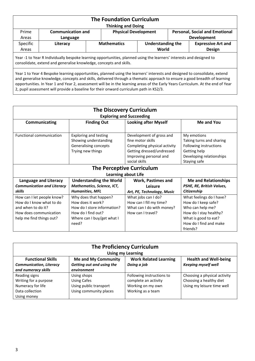| <b>The Foundation Curriculum</b><br><b>Thinking and Doing</b>                                                                                                                                                                                           |          |  |                    |                                   |  |                                            |  |
|---------------------------------------------------------------------------------------------------------------------------------------------------------------------------------------------------------------------------------------------------------|----------|--|--------------------|-----------------------------------|--|--------------------------------------------|--|
| <b>Physical Development</b><br><b>Personal, Social and Emotional</b><br>Prime<br><b>Communication and</b><br><b>Development</b><br>Areas<br>Language                                                                                                    |          |  |                    |                                   |  |                                            |  |
| Specific<br>Areas                                                                                                                                                                                                                                       | Literacy |  | <b>Mathematics</b> | <b>Understanding the</b><br>World |  | <b>Expressive Art and</b><br><b>Design</b> |  |
| Year -1 to Year R Individually bespoke learning opportunities, planned using the learners' interests and designed to<br>consolidate, extend and generalise knowledge, concepts and skills.                                                              |          |  |                    |                                   |  |                                            |  |
| Year 1 to Year 4 Bespoke learning opportunities, planned using the learners' interests and designed to consolidate, extend<br>and generalise knowledge, concepts and skills, delivered through a thematic approach to ensure a good breadth of learning |          |  |                    |                                   |  |                                            |  |

opportunities. In Year 1 and Year 2, assessment will be in the learning areas of the Early Years Curriculum. At the end of Year 2, pupil assessment will provide a baseline for their onward curriculum path in KS2/3.

| <b>The Discovery Curriculum</b>   |                                |                                  |                             |  |  |  |
|-----------------------------------|--------------------------------|----------------------------------|-----------------------------|--|--|--|
| <b>Exploring and Succeeding</b>   |                                |                                  |                             |  |  |  |
| Communicating                     | <b>Finding Out</b>             | <b>Looking after Myself</b>      | Me and You                  |  |  |  |
|                                   |                                |                                  |                             |  |  |  |
| Functional communication          | <b>Exploring and testing</b>   | Development of gross and         | My emotions                 |  |  |  |
|                                   | Showing understanding          | fine motor skills                | Taking turns and sharing    |  |  |  |
|                                   | Generalising concepts          | Completing physical activity     | Following instructions      |  |  |  |
|                                   | Trying new things              | Getting dressed/undressed        | Getting help                |  |  |  |
|                                   |                                | Improving personal and           | Developing relationships    |  |  |  |
|                                   |                                | social skills                    | Staying safe                |  |  |  |
|                                   |                                | <b>The Perceptive Curriculum</b> |                             |  |  |  |
|                                   |                                | <b>Learning about Life</b>       |                             |  |  |  |
| Language and Literacy             | <b>Understanding the World</b> | <b>Work, Pastimes and</b>        | <b>Me and Relationships</b> |  |  |  |
| <b>Communication and Literacy</b> | Mathematics, Science, ICT,     | Leisure                          | PSHE, RE, British Values,   |  |  |  |
| skills                            | <b>Humanities, MFL</b>         | Art, PE, Technology, Music       | Citizenship                 |  |  |  |
| How can I let people know?        | Why does that happen?          | What jobs can I do?              | What feelings do I have?    |  |  |  |
| How do I know what to do          | How does it work?              | How can I fill my time?          | How do I keep safe?         |  |  |  |
| and when to do it?                | How do I store information?    | What can I do with money?        | Who can help me?            |  |  |  |
| How does communication            | How do I find out?             | How can I travel?                | How do I stay healthy?      |  |  |  |
| help me find things out?          | Where can I buy/get what I     |                                  | What is good to eat?        |  |  |  |
|                                   | need?                          |                                  | How do I find and make      |  |  |  |
|                                   |                                |                                  | friends?                    |  |  |  |

| <b>The Proficiency Curriculum</b>           |                            |                              |                              |  |  |
|---------------------------------------------|----------------------------|------------------------------|------------------------------|--|--|
|                                             |                            | <b>Using my Learning</b>     |                              |  |  |
| <b>Functional Skills</b>                    | <b>Me and My Community</b> | <b>Work Related Learning</b> | <b>Health and Well-being</b> |  |  |
| <b>Communication, Literacy</b>              | Getting out and using the  | Doing a job                  | <b>Keeping myself well</b>   |  |  |
| and numeracy skills                         | environment                |                              |                              |  |  |
| Reading signs                               | Using shops                | Following instructions to    | Choosing a physical activity |  |  |
| Writing for a purpose                       | Using Cafes                | complete an activity         | Choosing a healthy diet      |  |  |
| Numeracy for life<br>Using public transport |                            | Working on my own            | Using my leisure time well   |  |  |
| Data collection                             | Using community places     | Working as a team            |                              |  |  |
| Using money                                 |                            |                              |                              |  |  |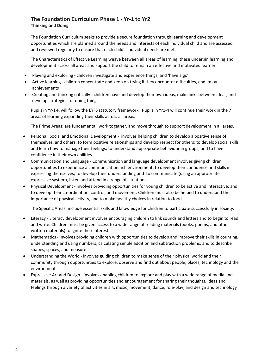# **The Foundation Curriculum Phase 1 - Yr-1 to Yr2**

#### **Thinking and Doing**

The Foundation Curriculum seeks to provide a secure foundation through learning and development opportunities which are planned around the needs and interests of each individual child and are assessed and reviewed regularly to ensure that each child's individual needs are met.

The Characteristics of Effective Learning weave between all areas of learning, these underpin learning and development across all areas and support the child to remain an effective and motivated learner.

- Playing and exploring children investigate and experience things, and 'have a go'
- Active learning children concentrate and keep on trying if they encounter difficulties, and enjoy achievements
- Creating and thinking critically children have and develop their own ideas, make links between ideas, and develop strategies for doing things

Pupils in Yr-1-R will follow the EYFS statutory framework. Pupils in Yr1-4 will continue their work in the 7 areas of learning expanding their skills across all areas.

The Prime Areas: are fundamental, work together, and move through to support development in all areas.

- Personal, Social and Emotional Development involves helping children to develop a positive sense of themselves, and others; to form positive relationships and develop respect for others; to develop social skills and learn how to manage their feelings; to understand appropriate behaviour in groups; and to have confidence in their own abilities
- Communication and Language Communication and language development involves giving children opportunities to experience a communication rich environment; to develop their confidence and skills in expressing themselves; to develop their understanding and to communicate (using an appropriate expressive system), listen and attend in a range of situations
- Physical Development involves providing opportunities for young children to be active and interactive; and to develop their co-ordination, control, and movement. Children must also be helped to understand the importance of physical activity, and to make healthy choices in relation to food

The Specific Areas: include essential skills and knowledge for children to participate successfully in society.

- Literacy Literacy development involves encouraging children to link sounds and letters and to begin to read and write. Children must be given access to a wide range of reading materials (books, poems, and other written materials) to ignite their interest
- Mathematics involves providing children with opportunities to develop and improve their skills in counting, understanding and using numbers, calculating simple addition and subtraction problems; and to describe shapes, spaces, and measure
- Understanding the World involves guiding children to make sense of their physical world and their community through opportunities to explore, observe and find out about people, places, technology and the environment
- Expressive Art and Design involves enabling children to explore and play with a wide range of media and materials, as well as providing opportunities and encouragement for sharing their thoughts, ideas and feelings through a variety of activities in art, music, movement, dance, role-play, and design and technology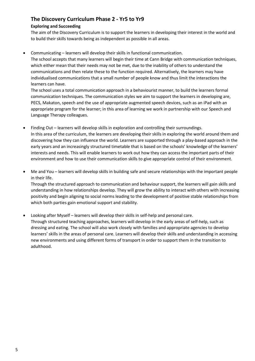# **The Discovery Curriculum Phase 2 - Yr5 to Yr9**

### **Exploring and Succeeding**

The aim of the Discovery Curriculum is to support the learners in developing their interest in the world and to build their skills towards being as independent as possible in all areas.

• Communicating – learners will develop their skills in functional communication.

The school accepts that many learners will begin their time at Cann Bridge with communication techniques, which either mean that their needs may not be met, due to the inability of others to understand the communications and then relate these to the function required. Alternatively, the learners may have individualised communications that a small number of people know and thus limit the interactions the learners can have.

The school uses a total communication approach in a behaviourist manner, to build the learners formal communication techniques. The communication styles we aim to support the learners in developing are, PECS, Makaton, speech and the use of appropriate augmented speech devices, such as an iPad with an appropriate program for the learner; in this area of learning we work in partnership with our Speech and Language Therapy colleagues.

- Finding Out learners will develop skills in exploration and controlling their surroundings. In this area of the curriculum, the learners are developing their skills in exploring the world around them and discovering how they can influence the world. Learners are supported through a play-based approach in the early years and an increasingly structured timetable that is based on the schools' knowledge of the learners' interests and needs. This will enable learners to work out how they can access the important parts of their environment and how to use their communication skills to give appropriate control of their environment.
- Me and You learners will develop skills in building safe and secure relationships with the important people in their life.

Through the structured approach to communication and behaviour support, the learners will gain skills and understanding in how relationships develop. They will grow the ability to interact with others with increasing positivity and begin aligning to social norms leading to the development of positive stable relationships from which both parties gain emotional support and stability.

• Looking after Myself – learners will develop their skills in self-help and personal care. Through structured teaching approaches, learners will develop in the early areas of self-help, such as dressing and eating. The school will also work closely with families and appropriate agencies to develop learners' skills in the areas of personal care. Learners will develop their skills and understanding in accessing new environments and using different forms of transport in order to support them in the transition to adulthood.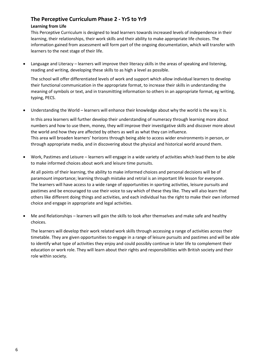## **The Perceptive Curriculum Phase 2 - Yr5 to Yr9**

#### **Learning from Life**

This Perceptive Curriculum is designed to lead learners towards increased levels of independence in their learning, their relationships, their work skills and their ability to make appropriate life choices. The information gained from assessment will form part of the ongoing documentation, which will transfer with learners to the next stage of their life.

• Language and Literacy – learners will improve their literacy skills in the areas of speaking and listening, reading and writing, developing these skills to as high a level as possible.

The school will offer differentiated levels of work and support which allow individual learners to develop their functional communication in the appropriate format, to increase their skills in understanding the meaning of symbols or text, and in transmitting information to others in an appropriate format, eg writing, typing, PECS.

• Understanding the World – learners will enhance their knowledge about why the world is the way it is.

In this area learners will further develop their understanding of numeracy through learning more about numbers and how to use them, money, they will improve their investigative skills and discover more about the world and how they are affected by others as well as what they can influence. This area will broaden learners' horizons through being able to access wider environments in person, or through appropriate media, and in discovering about the physical and historical world around them.

• Work, Pastimes and Leisure – learners will engage in a wide variety of activities which lead them to be able to make informed choices about work and leisure time pursuits.

At all points of their learning, the ability to make informed choices and personal decisions will be of paramount importance; learning through mistake and retrial is an important life lesson for everyone. The learners will have access to a wide range of opportunities in sporting activities, leisure pursuits and pastimes and be encouraged to use their voice to say which of these they like. They will also learn that others like different doing things and activities, and each individual has the right to make their own informed choice and engage in appropriate and legal activities.

• Me and Relationships – learners will gain the skills to look after themselves and make safe and healthy choices.

The learners will develop their work related work skills through accessing a range of activities across their timetable. They are given opportunities to engage in a range of leisure pursuits and pastimes and will be able to identify what type of activities they enjoy and could possibly continue in later life to complement their education or work role. They will learn about their rights and responsibilities with British society and their role within society.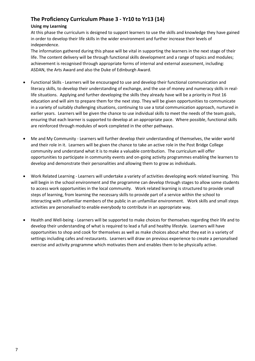# **The Proficiency Curriculum Phase 3 - Yr10 to Yr13 (14)**

#### **Using my Learning**

At this phase the curriculum is designed to support learners to use the skills and knowledge they have gained in order to develop their life skills in the wider environment and further increase their levels of independence.

The information gathered during this phase will be vital in supporting the learners in the next stage of their life. The content delivery will be through functional skills development and a range of topics and modules; achievement is recognised through appropriate forms of internal and external assessment, including: ASDAN, the Arts Award and also the Duke of Edinburgh Award.

- Functional Skills Learners will be encouraged to use and develop their functional communication and literacy skills, to develop their understanding of exchange, and the use of money and numeracy skills in reallife situations. Applying and further developing the skills they already have will be a priority in Post 16 education and will aim to prepare them for the next step. They will be given opportunities to communicate in a variety of suitably challenging situations, continuing to use a total communication approach, nurtured in earlier years. Learners will be given the chance to use individual skills to meet the needs of the team goals, ensuring that each learner is supported to develop at an appropriate pace. Where possible, functional skills are reinforced through modules of work completed in the other pathways.
- Me and My Community Learners will further develop their understanding of themselves, the wider world and their role in it. Learners will be given the chance to take an active role in the Post Bridge College community and understand what it is to make a valuable contribution. The curriculum will offer opportunities to participate in community events and on-going activity programmes enabling the learners to develop and demonstrate their personalities and allowing them to grow as individuals.
- Work Related Learning Learners will undertake a variety of activities developing work related learning. This will begin in the school environment and the programme can develop through stages to allow some students to access work opportunities in the local community. Work related learning is structured to provide small steps of learning, from learning the necessary skills to provide part of a service within the school to interacting with unfamiliar members of the public in an unfamiliar environment. Work skills and small steps activities are personalised to enable everybody to contribute in an appropriate way.
- Health and Well-being Learners will be supported to make choices for themselves regarding their life and to develop their understanding of what is required to lead a full and healthy lifestyle. Learners will have opportunities to shop and cook for themselves as well as make choices about what they eat in a variety of settings including cafes and restaurants. Learners will draw on previous experience to create a personalised exercise and activity programme which motivates them and enables them to be physically active.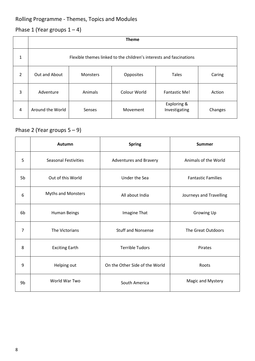# Rolling Programme - Themes, Topics and Modules

# Phase 1 (Year groups  $1 - 4$ )

|   | <b>Theme</b>                                                        |          |              |                              |         |  |  |  |
|---|---------------------------------------------------------------------|----------|--------------|------------------------------|---------|--|--|--|
| 1 | Flexible themes linked to the children's interests and fascinations |          |              |                              |         |  |  |  |
| 2 | Out and About                                                       | Monsters | Opposites    | <b>Tales</b>                 | Caring  |  |  |  |
| 3 | Adventure                                                           | Animals  | Colour World | Fantastic Me!                | Action  |  |  |  |
| 4 | Around the World                                                    | Senses   | Movement     | Exploring &<br>Investigating | Changes |  |  |  |

# Phase 2 (Year groups 5 – 9)

|                                     | Autumn                      | <b>Spring</b>                  | <b>Summer</b>             |  |
|-------------------------------------|-----------------------------|--------------------------------|---------------------------|--|
| 5                                   | <b>Seasonal Festivities</b> | <b>Adventures and Bravery</b>  | Animals of the World      |  |
| 5 <sub>b</sub><br>Out of this World |                             | Under the Sea                  | <b>Fantastic Families</b> |  |
| 6                                   | <b>Myths and Monsters</b>   | All about India                | Journeys and Travelling   |  |
| 6b                                  | <b>Human Beings</b>         | Imagine That                   | Growing Up                |  |
| $\overline{7}$                      | The Victorians              | <b>Stuff and Nonsense</b>      | The Great Outdoors        |  |
| 8                                   | <b>Exciting Earth</b>       | <b>Terrible Tudors</b>         | Pirates                   |  |
| 9                                   | Helping out                 | On the Other Side of the World | Roots                     |  |
| 9b                                  | World War Two               | South America                  | Magic and Mystery         |  |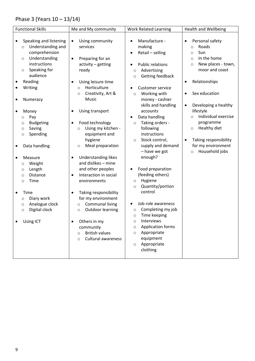# Phase 3 (Years 10 – 13/14)

| <b>Functional Skills</b><br>Me and My community                                                                                                                                                                                                                                                                                                                                                                                                                                                                                                                                                                                                                                                                                                                                                                                                                                                                                                                                                                                                                                                                                                                                                                                 | <b>Work Related Learning</b>                                                                                                                                                                                                                                                                                                                                                                                                                                                                                                                                                                                                                                                                                                                                                       | <b>Health and Wellbeing</b>                                                                                                                                                                                                                                                                                                                                                                                                      |
|---------------------------------------------------------------------------------------------------------------------------------------------------------------------------------------------------------------------------------------------------------------------------------------------------------------------------------------------------------------------------------------------------------------------------------------------------------------------------------------------------------------------------------------------------------------------------------------------------------------------------------------------------------------------------------------------------------------------------------------------------------------------------------------------------------------------------------------------------------------------------------------------------------------------------------------------------------------------------------------------------------------------------------------------------------------------------------------------------------------------------------------------------------------------------------------------------------------------------------|------------------------------------------------------------------------------------------------------------------------------------------------------------------------------------------------------------------------------------------------------------------------------------------------------------------------------------------------------------------------------------------------------------------------------------------------------------------------------------------------------------------------------------------------------------------------------------------------------------------------------------------------------------------------------------------------------------------------------------------------------------------------------------|----------------------------------------------------------------------------------------------------------------------------------------------------------------------------------------------------------------------------------------------------------------------------------------------------------------------------------------------------------------------------------------------------------------------------------|
| Speaking and listening<br>Using community<br>Understanding and<br>services<br>$\circ$<br>comprehension<br>Understanding<br>Preparing for an<br>$\circ$<br>instructions<br>activity - getting<br>Speaking for<br>ready<br>$\circ$<br>audience<br>Reading<br>Using leisure time<br>٠<br>Horticulture<br>Writing<br>٠<br>$\circ$<br>Creativity, Art &<br>$\circ$<br>Music<br>Numeracy<br>٠<br>Using transport<br>Money<br>Pay<br>$\circ$<br>Food technology<br><b>Budgeting</b><br>$\circ$<br>Using my kitchen -<br>Saving<br>$\circ$<br>$\circ$<br>equipment and<br>Spending<br>$\circ$<br>hygiene<br>Meal preparation<br>Data handling<br>$\circ$<br><b>Understanding likes</b><br>Measure<br>$\bullet$<br>and dislikes - mine<br>Weight<br>$\circ$<br>and other peoples<br>Length<br>$\circ$<br>Interaction in social<br>Distance<br>$\circ$<br>٠<br>Time<br>environments<br>$\circ$<br>Taking responsibility<br>Time<br>Diary work<br>for my environment<br>$\circ$<br><b>Communal living</b><br>Analogue clock<br>$\circ$<br>$\circ$<br><b>Outdoor learning</b><br>Digital clock<br>$\circ$<br>$\circ$<br>Others in my<br>Using ICT<br>community<br><b>British values</b><br>$\circ$<br><b>Cultural awareness</b><br>$\Omega$ | Manufacture -<br>$\bullet$<br>making<br>Retail - selling<br>$\bullet$<br><b>Public relations</b><br>Advertising<br>$\circ$<br>Getting feedback<br>$\circ$<br><b>Customer service</b><br>Working with<br>$\circ$<br>money - cashier<br>skills and handling<br>accounts<br>Data handling<br>$\bullet$<br>Taking orders -<br>$\circ$<br>following<br>instructions<br>Stock control,<br>$\circ$<br>supply and demand<br>- have we got<br>enough?<br>Food preparation<br>(feeding others)<br>Hygiene<br>$\circ$<br>Quantity/portion<br>$\circ$<br>control<br>Job role awareness<br>Completing my job<br>$\circ$<br>Time keeping<br>$\circ$<br>Interviews<br>$\circ$<br><b>Application forms</b><br>$\circ$<br>Appropriate<br>$\circ$<br>equipment<br>Appropriate<br>$\circ$<br>clothing | Personal safety<br>$\bullet$<br>Roads<br>$\circ$<br>Sun<br>$\circ$<br>In the home<br>$\circ$<br>New places - town,<br>$\circ$<br>moor and coast<br>Relationships<br>$\bullet$<br>Sex education<br>$\bullet$<br>Developing a healthy<br>$\bullet$<br>lifestyle<br>Individual exercise<br>$\circ$<br>programme<br>Healthy diet<br>$\circ$<br>Taking responsibility<br>$\bullet$<br>for my environment<br>Household jobs<br>$\circ$ |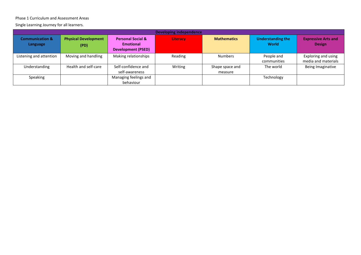#### Phase 1 Curriculum and Assessment Areas

Single Learning Journey for all learners.

|                                        | <b>Developing independence</b>      |                                                                               |                 |                            |                                          |                                             |  |
|----------------------------------------|-------------------------------------|-------------------------------------------------------------------------------|-----------------|----------------------------|------------------------------------------|---------------------------------------------|--|
| <b>Communication &amp;</b><br>Language | <b>Physical Development</b><br>(PD) | <b>Personal Social &amp;</b><br><b>Emotional</b><br><b>Development (PSED)</b> | <b>Literacy</b> | <b>Mathematics</b>         | <b>Understanding the</b><br><b>World</b> | <b>Expressive Arts and</b><br><b>Design</b> |  |
| Listening and attention                | Moving and handling                 | Making relationships                                                          | Reading         | <b>Numbers</b>             | People and<br>communities                | Exploring and using<br>media and materials  |  |
| Understanding                          | Health and self-care                | Self-confidence and<br>self-awareness                                         | Writing         | Shape space and<br>measure | The world                                | Being Imaginative                           |  |
| Speaking                               |                                     | Managing feelings and<br>behaviour                                            |                 |                            | Technology                               |                                             |  |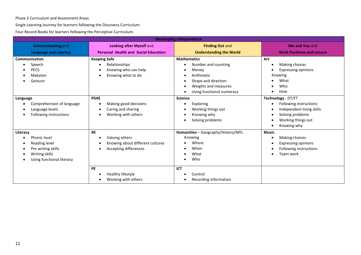Phase 2 Curriculum and Assessment Areas

Single Learning Journey for learners following the Discovery Curriculum.

Four Record Books for learners following the Perceptive Curriculum.

|                                                                                                                | <b>Developing independence</b>                                                           |                                                                                                                                              |                                                                                                                                    |  |  |  |  |  |
|----------------------------------------------------------------------------------------------------------------|------------------------------------------------------------------------------------------|----------------------------------------------------------------------------------------------------------------------------------------------|------------------------------------------------------------------------------------------------------------------------------------|--|--|--|--|--|
| <b>Communicating and</b><br><b>Language and Literacy</b>                                                       | <b>Looking after Myself and</b><br><b>Personal Health and Social Education</b>           | <b>Finding Out and</b><br><b>Understanding the World</b>                                                                                     | Me and You and<br><b>Work Pastimes and Leisure</b>                                                                                 |  |  |  |  |  |
| <b>Communication</b><br>Speech<br><b>PECS</b><br>Makaton<br>Gesture                                            | <b>Keeping Safe</b><br>Relationships<br>Knowing who can help<br>Knowing what to do       | <b>Mathematics</b><br>Number and counting<br>Money<br>Arithmetic<br>Shape and direction<br>Weights and measures<br>Using functional numeracy | Art<br>Making choices<br><b>Expressing opinions</b><br>Knowing<br>What<br>Who<br>How                                               |  |  |  |  |  |
| Language<br>Comprehension of language<br>Language levels<br>Following instructions                             | <b>PSHE</b><br>Making good decisions<br>Caring and sharing<br>Working with others        | <b>Science</b><br>Exploring<br>Working things out<br>Knowing why<br>Solving problems<br>$\bullet$                                            | Technology - DT/FT<br>Following instructions<br>Independent living skills<br>Solving problems<br>Working things out<br>Knowing why |  |  |  |  |  |
| Literacy<br>Phonic level<br>Reading level<br>Pre writing skills<br>Writing skills<br>Using functional literacy | <b>RE</b><br>Valuing others<br>Knowing about different cultures<br>Accepting differences | Humanities - Geography/History/MFL<br>Knowing<br>Where<br>When<br>What<br>Who                                                                | <b>Music</b><br>Making choices<br><b>Expressing opinions</b><br>Following instructions<br>Team work                                |  |  |  |  |  |
|                                                                                                                | PE<br>Healthy lifestyle<br>Working with others                                           | ICT<br>Control<br>Recording information                                                                                                      |                                                                                                                                    |  |  |  |  |  |